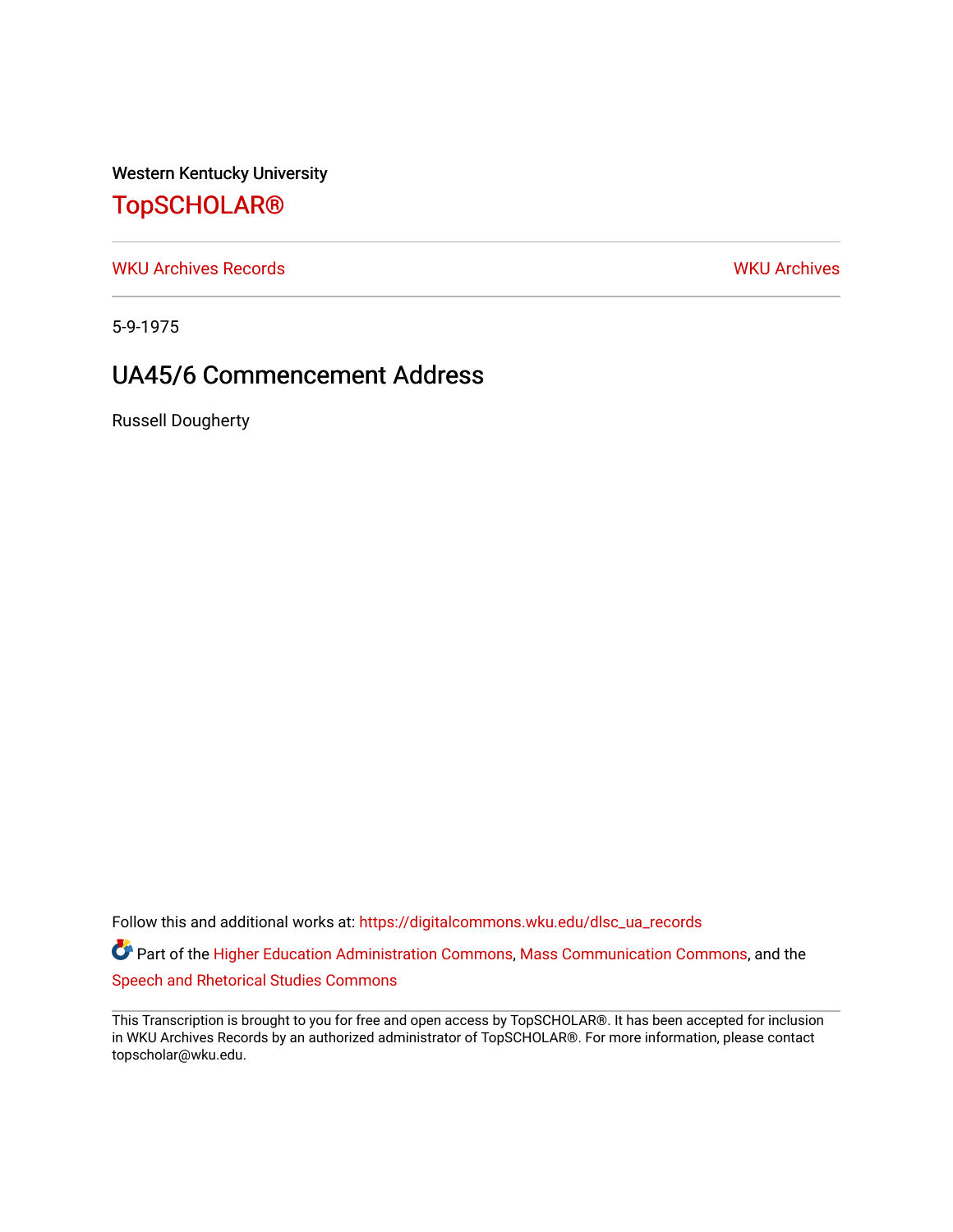Western Kentucky University

## [TopSCHOLAR®](https://digitalcommons.wku.edu/)

[WKU Archives Records](https://digitalcommons.wku.edu/dlsc_ua_records) [WKU Archives](https://digitalcommons.wku.edu/dlsc_ua) 

5-9-1975

## UA45/6 Commencement Address

Russell Dougherty

Follow this and additional works at: [https://digitalcommons.wku.edu/dlsc\\_ua\\_records](https://digitalcommons.wku.edu/dlsc_ua_records?utm_source=digitalcommons.wku.edu%2Fdlsc_ua_records%2F8756&utm_medium=PDF&utm_campaign=PDFCoverPages)

Part of the [Higher Education Administration Commons,](http://network.bepress.com/hgg/discipline/791?utm_source=digitalcommons.wku.edu%2Fdlsc_ua_records%2F8756&utm_medium=PDF&utm_campaign=PDFCoverPages) [Mass Communication Commons,](http://network.bepress.com/hgg/discipline/334?utm_source=digitalcommons.wku.edu%2Fdlsc_ua_records%2F8756&utm_medium=PDF&utm_campaign=PDFCoverPages) and the [Speech and Rhetorical Studies Commons](http://network.bepress.com/hgg/discipline/338?utm_source=digitalcommons.wku.edu%2Fdlsc_ua_records%2F8756&utm_medium=PDF&utm_campaign=PDFCoverPages)

This Transcription is brought to you for free and open access by TopSCHOLAR®. It has been accepted for inclusion in WKU Archives Records by an authorized administrator of TopSCHOLAR®. For more information, please contact topscholar@wku.edu.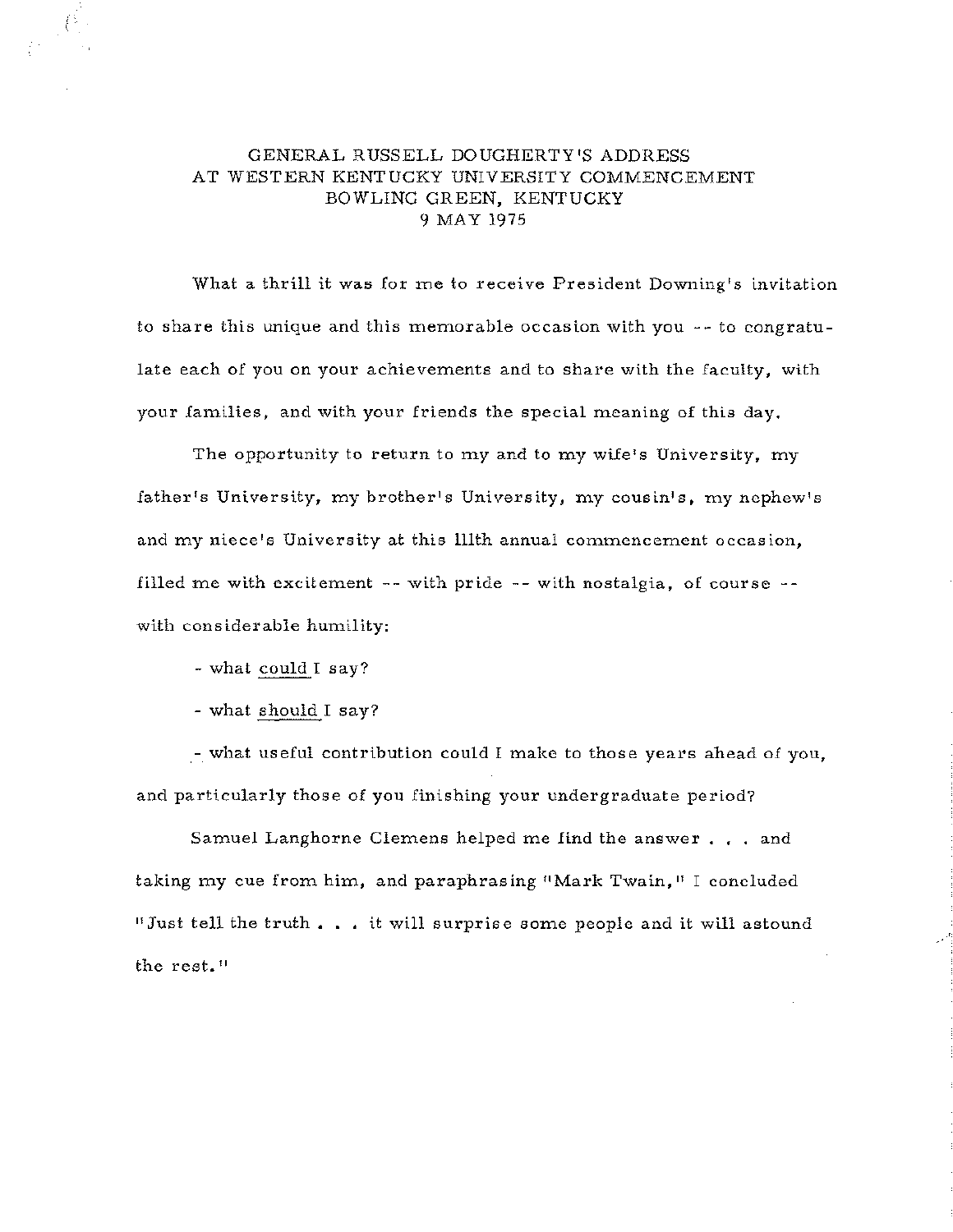## GENERAL RUSSELL DOUGHERTY'S ADDRESS AT WESTERN KENTUCKY UNIVERSITY COMMENCEMENT BOWLING GREEN, KENTUCKY 9 MAY 1975

What a thrill it was for me to receive President Downing's invitation to share this unique and this memorable occasion with you -- to congratulate each of you on your achievements and to share with the faculty, with your families, and with your friends the special meaning of this day,

The opportunity to return to my and to my wife's University, my father's University, my brother's University, my cousin's, my nephew's and my niece's University at this lllth annual commencement occasion, filled me with excitement -- with pride -- with nostalgia, of course - with considerable humility:

- what could I say?

I

- what should I say?

.- what useful contribution could I make to those years ahead of you, and particularly those of you finishing your undergraduate period?

Samuel Langhorne Clemens helped me find the answer  $\ldots$  and taking my cue from him, and paraphrasing "Mark Twain," I concluded "Just tell the truth . . . it will surprise some people and it will astound the rest."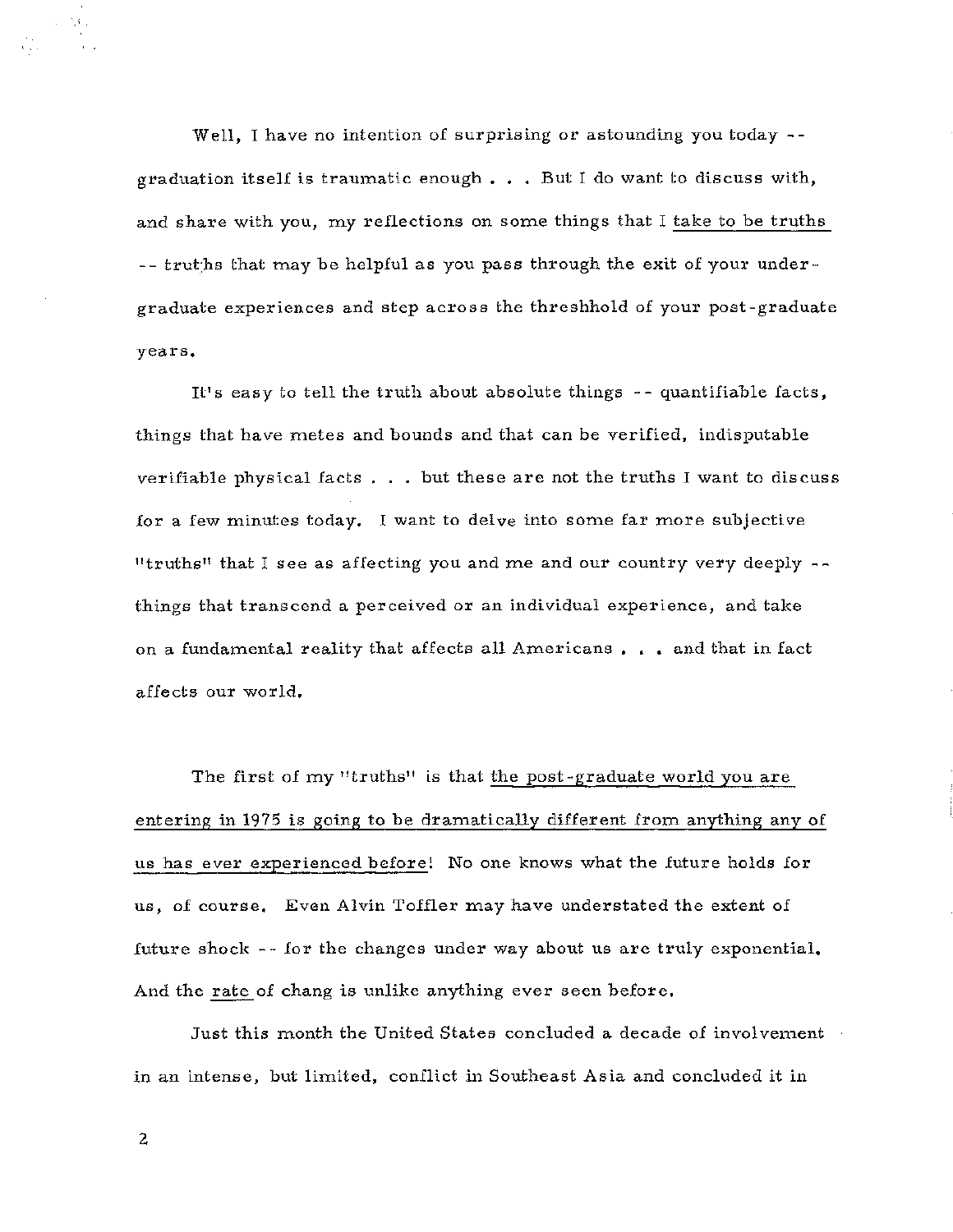Well, I have no intention of surprising or astounding you today -graduation itself is traumatic enough  $\ldots$ . But I do want to discuss with, and share with you, my reflections on some things that I take to be truths -- truths that may be helpful as you pass through the exit of your undergraduate experiences and step across the threshhold of your post-graduate years.

It's easy to tell the truth about absolute things  $-$ -quantifiable facts, things that have metes and bounds and that can be verified, indisputable verifiable physical facts  $\ldots$  but these are not the truths I want to discuss for a few minutes today. I want to delve into some far more subjective "truths" that I see as affecting you and me and our country very deeply  $$ things that transcend a perceived or an individual experience, and take on a fundamental reality that affects all Americans . . . and that in fact affects our world,

The first of my "truths" is that the post -graduate world you are entering in 1975 is going to be dramatically different from anything any of us has ever experienced before! No one knows what the future holds for us, of course, Even Alvin Toffler may have understated the extent of future shock - - for the changes under way about us are truly exponential, And the rate of chang is unlike anything ever seen before.

Just this month the United States concluded a decade of involvement in an intense, but limited, conflict in Southeast Asia and concluded it in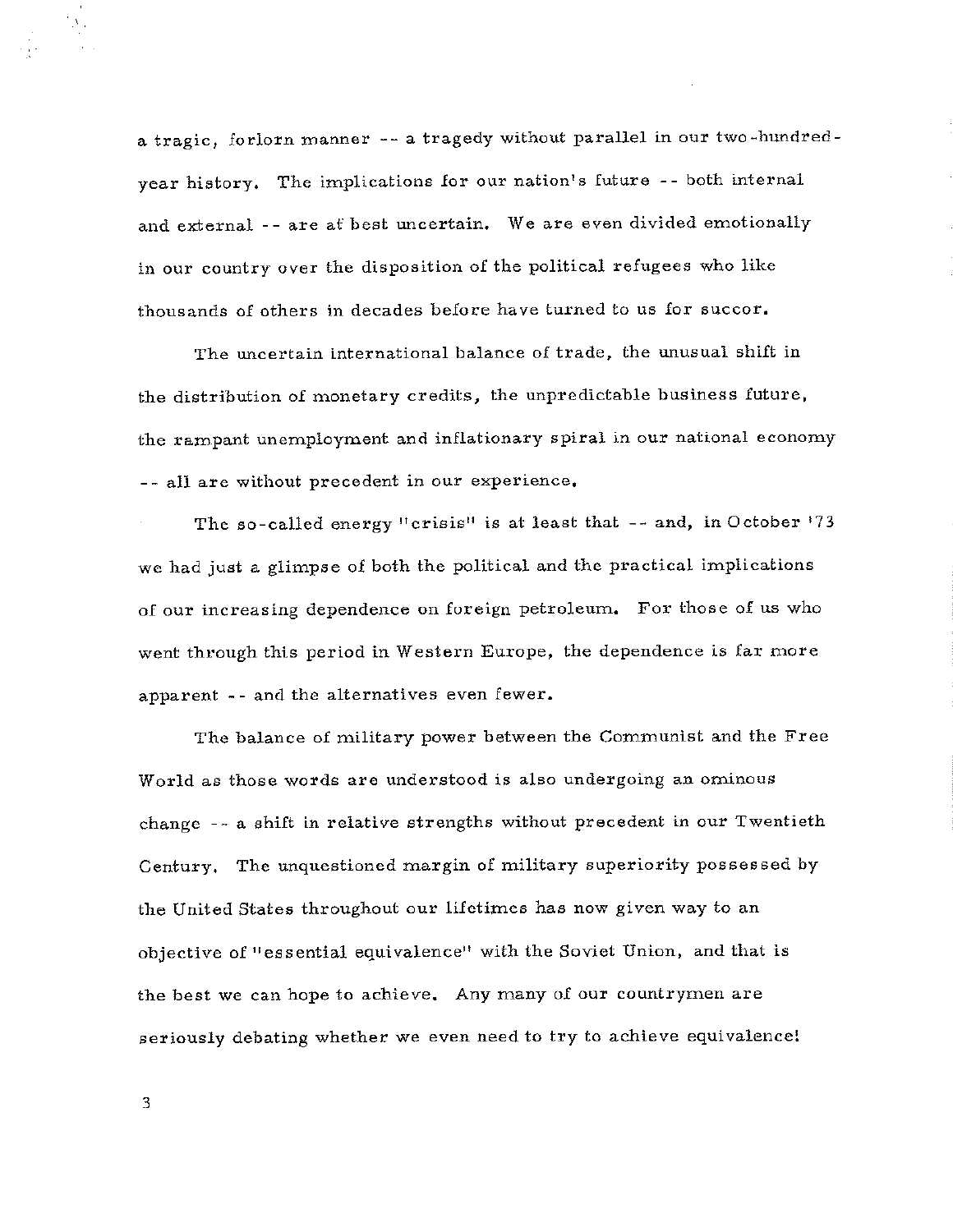a tragic, forlorn manner -- a tragedy without parallel in our two-hundredyear history. The implications for our nation's future -- both internal and external -- are af best uncertain. We are even divided emotionally in our country over the disposition of the political refugees who like thousands of others in decades before have turned to us for succor.

The uncertain international balance of trade, the unusual shift in the distribution of monetary credits, the unpredictable business future, the rampant unemployment and inflationary spiral in our national economy -- all are without precedent in our experience.

The so-called energy "crisis" is at least that -- and, in October '73 we had just a glimpse of both the political and the practical implications of our increasing dependence on foreign petroleum. For those of us who went through this period in Western Europe, the dependence is far more apparent -- and the alternatives even fewer.

The balance of military power between the Communist and the Free World as those words are understood is also undergoing an ominous change -- a shift in relative strengths without precedent in our Twentieth Century. The unquestioned margin of military superiority possessed by the United States throughout our lifetimes has now given way to an objective of "essential equivalence" with the Soviet Union, and that is the best we can hope to achieve. Any many of our countrymen are seriously debating whether we even need to try to achieve equivalence!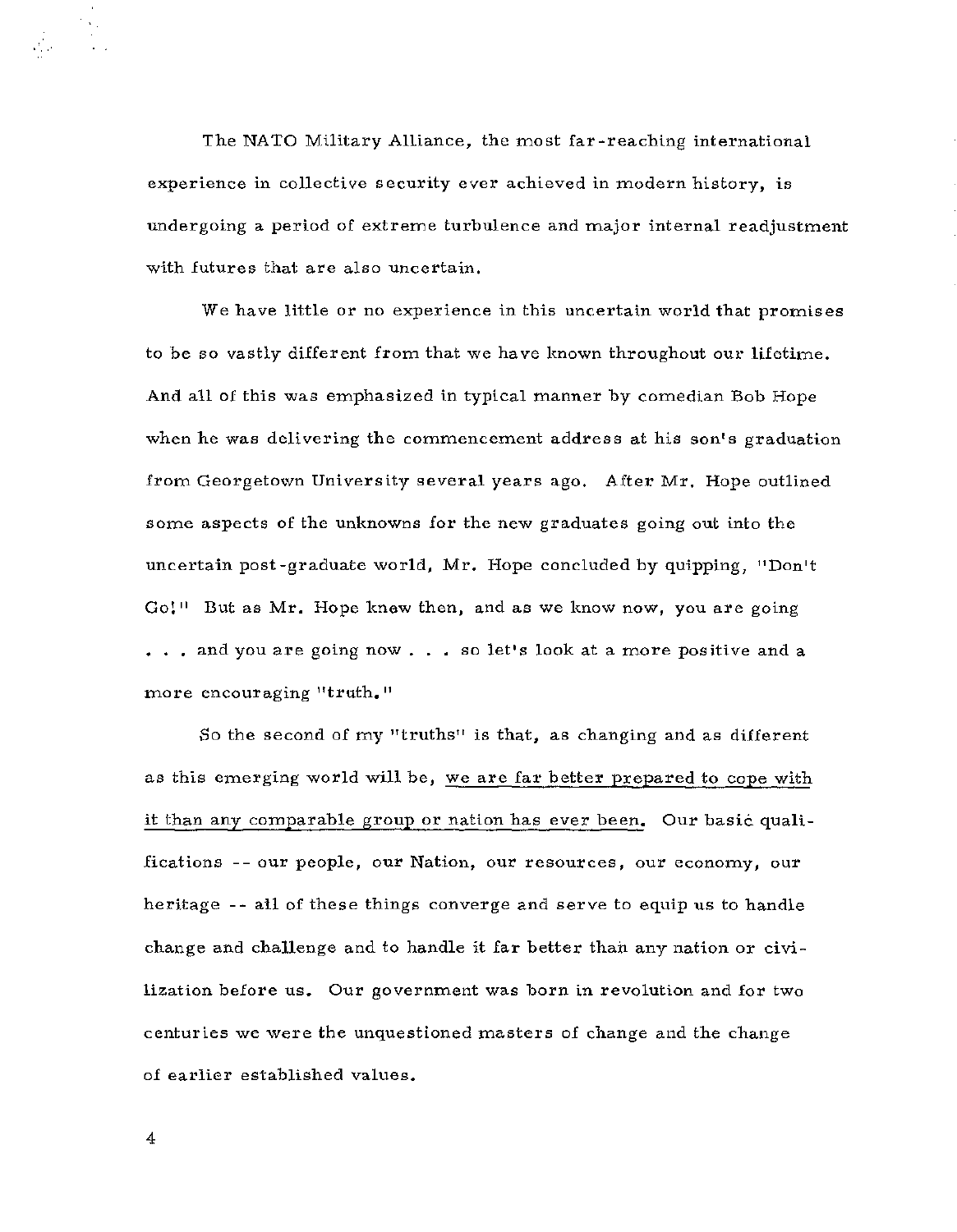The NATO Military Alliance, the most far-reaching international experience in collective security ever achieved in modern history, is undergoing a period of extreme turbulence and major internal readjustment with futures that are also uncertain.

We have little or no experience in this uncertain world that promises to be so vastly different from that we have known throughout our lifetime. And all of this was emphasized in typical manner by comedian Bob Hope when he was delivering the commencement address at his son's graduation from Georgetown University several years ago, After Mr, Hope outlined some aspects of the unknowns for the new graduates going out into the uncertain post-graduate world, Mr, Hope concluded by quipping, "Don't **Gol <sup>11</sup>** But as Mr. Hope knew then, and as we know now, you are going  $\ldots$  and you are going now  $\ldots$  so let's look at a more positive and a more encouraging "truth."

So the second of my "truths" is that, as changing and as different as this emerging world will be, we are far better prepared to cope with it than any comparable group or nation has ever been, Our basic qualifications -- our people, our Nation, our resources, our economy, our heritage - - all of these things converge and serve to equip us to handle change and challenge and to handle it far better than any nation or civilization before us. Our government was born in revolution and for two centuries we were the unquestioned masters of change and the change of earlier established values,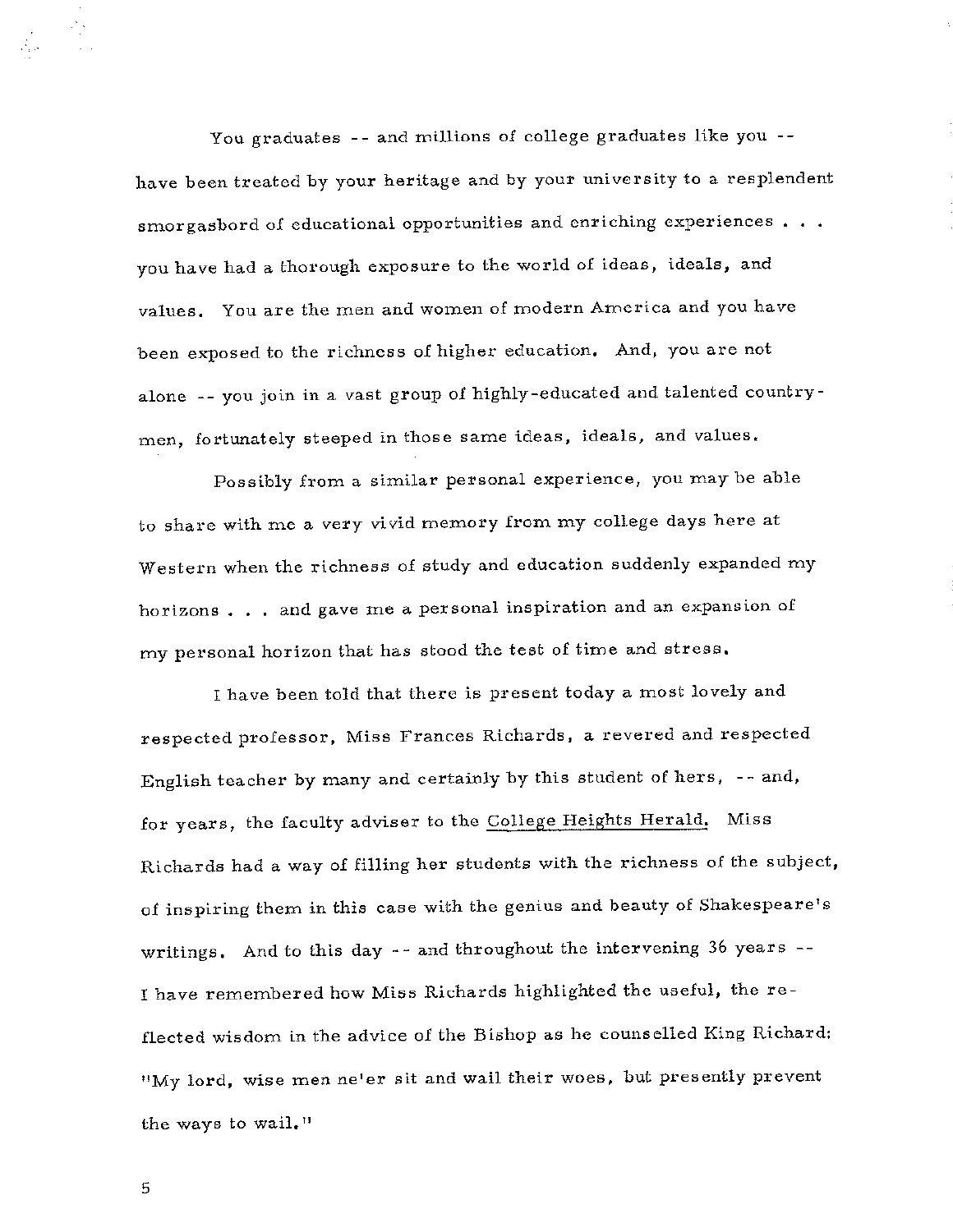You graduates -- and millions of college graduates like you -have been treated by your heritage and by your university to a resplendent smorgasbord of educational opportunities and enriching experiences  $\ldots$ you have had a thorough exposure to the world of ideas, ideals, and values, You are the men and women of modern America and you have been exposed to the richness of higher education, And, you are not alone -- you join in a vast group of highly-educated and talented countrymen, fortunately steeped in those same ideas, ideals, and values,

Possibly from a similar personal experience, you may be able to share with me a very vivid memory from my college days here at Western when the richness of study and education suddenly expanded my horizons . . . and gave me a personal inspiration and an expansion of my personal horizon that has stood the test of time and stress.

I have been told that there is present today a most lovely and respected professor, Miss Frances Richards, a revered and respected English teacher by many and certainly by this student of hers, -- and, for years, the faculty adviser to the College Heights Herald, Miss Richards had a way of filling her students with the richness of the subject, of inspiring them in this case with the genius and beauty of Shakespeare's writings, And to this day -- and throughout the intervening 36 years -- I have remembered how Miss Richards highlighted the useful, the reflected wisdom in the advice of the Bishop as he counselled King Richard: "My lord, wise men ne'er sit and wail their woes, but presently prevent the ways to wail."

5

 $\label{eq:2} \begin{array}{c} \mathcal{L}_{\mathcal{M}}^{\mathcal{M}}(\mathcal{M})\\ \mathcal{L}_{\mathcal{M}}^{\mathcal{M}}(\mathcal{M})\\ \mathcal{L}_{\mathcal{M}}^{\mathcal{M}}(\mathcal{M})\end{array}$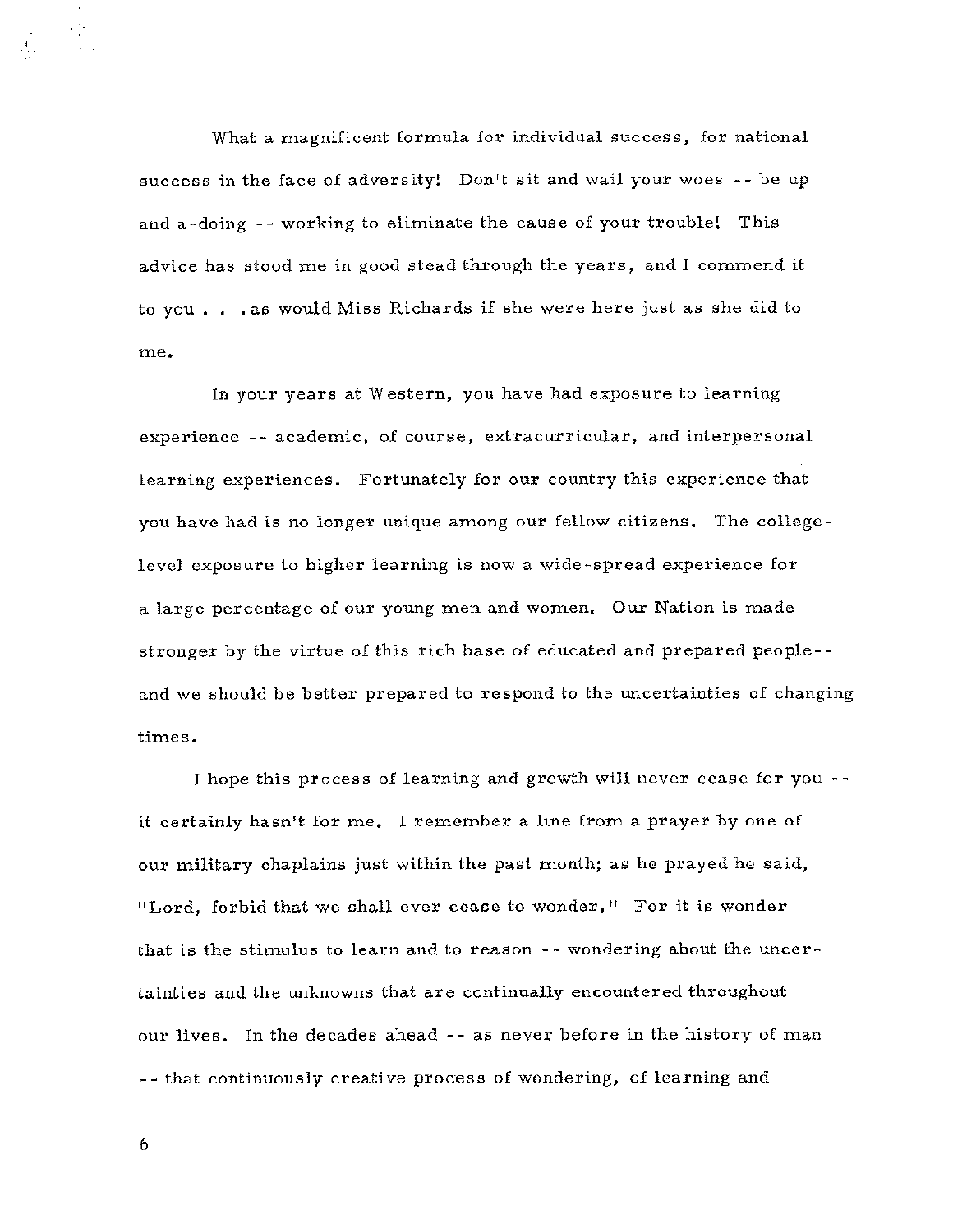What a magnificent formula for individual success, for national success in the face of adversity! Don't sit and wail your woes - - be up and a-doing -- working to eliminate the cause of your trouble! This advice has stood me in good stead through the years, and I commend it to you , , , as would Miss Richards if she were here just as she did to me,

In your years at Western, you have had exposure to learning experience -- academic, of course, extracurricular, and interpersonal learning experiences, Fortunately for our country this experience that you have had is no longer unique among our fellow citizens, The collegelevel exposure to higher learning is now a wide-spread experience for a large percentage of our young men and women. Our Nation is made stronger by the virtue of this rich base of educated and prepared people- and we should be better prepared to respond to the uncertainties of changing times,

I hope this process of learning and growth will never cease for you it certainly hasn't for me, I remember a line from a prayer by one of our military chaplains just within the past month; as he prayed he said, "Lord, forbid that we shall ever cease to wonder, 11 For it is wonder that is the stimulus to learn and to reason - - wondering about the uncertainties and the unknowns that are continually encountered throughout our lives, In the decades ahead -- as never before in the history of man -- that continuously creative process of wondering, of learning and

6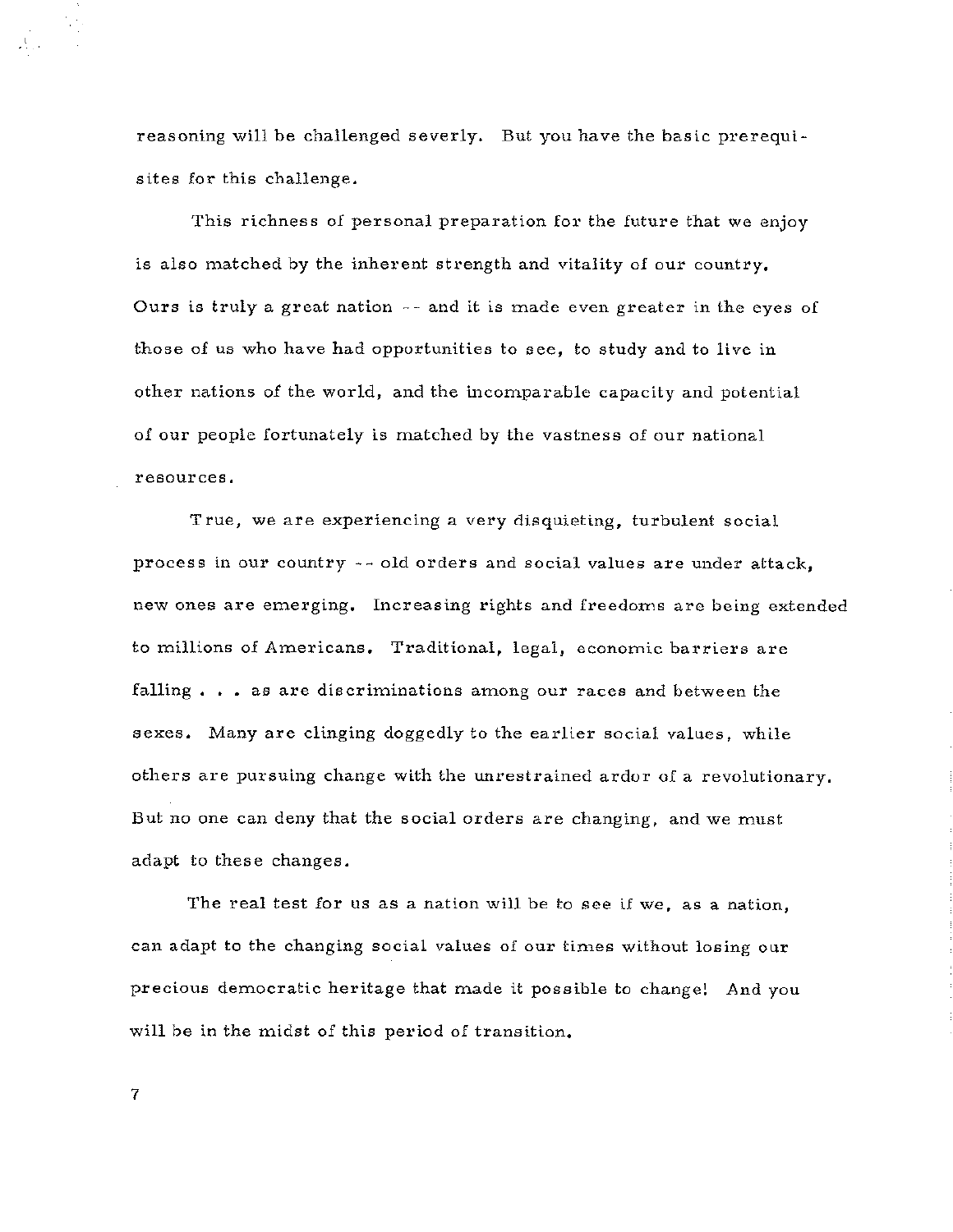reasoning will be challenged severly. But you have the basic prerequisites for this challenge.

This richness of personal preparation for the future that we enjoy is also matched by the inherent strength and vitality of our country. Ours is truly a great nation  $-$ - and it is made even greater in the eyes of those of us who have had opportunities to see, to study and to live in other nations of the world, and the incomparable capacity and potential of our people fortunately is matched by the vastness of our national **resources.** 

True, we are experiencing a very disquieting, turbulent social process in our country  $\sim$  old orders and social values are under attack, new ones are emerging. Increasing rights and freedoms are being extended to millions of Americans. Traditional, legal, economic barriers are falling  $\ldots$  as are discriminations among our races and between the sexes. Many are clinging doggedly to the earlier social values, while others are pursuing change with the unrestrained ardor of a revolutionary. But no one can deny that the social orders are changing, and we must adapt to these changes.

The real test for us as a nation will be to see if we, as a nation, can adapt to the changing social values of our times without losing our precious democratic heritage that made it possible to change! And you will be in the midst of this period of transition.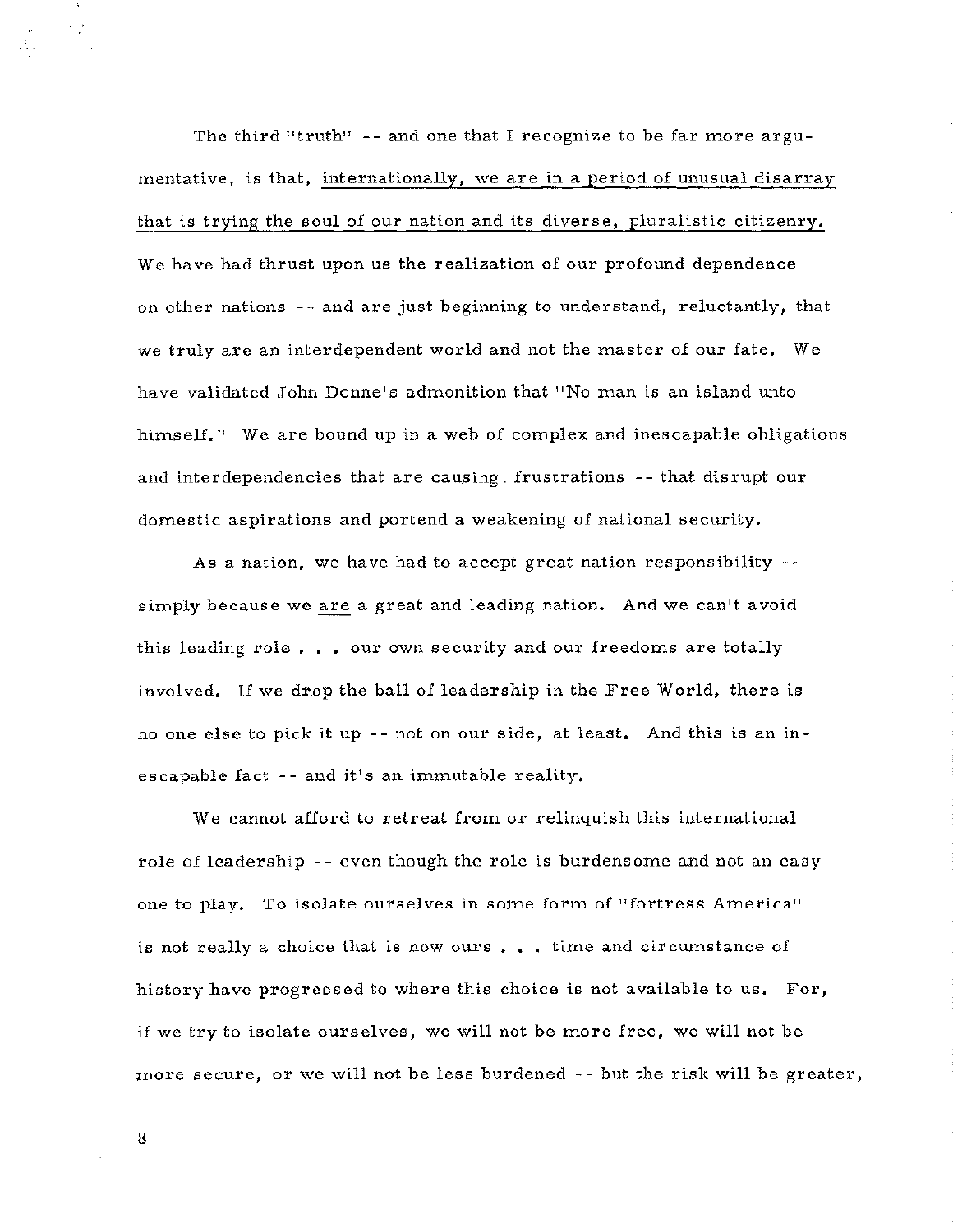The third "truth" -- and one that I recognize to be far more argumentative, is that, internationally, we are in a period of unusual disarray that is trying the soul of our nation and its diverse, pluralistic citizenry. We have had thrust upon us the realization of our profound dependence on other nations - - and are just beginning to understand, reluctantly, that we truly are an interdependent world and not the master of our fate. We have validated John Donne's admonition that "No man is an island unto himself.<sup>"</sup> We are bound up in a web of complex and inescapable obligations and interdependencies that are causing. frustrations -- that disrupt our domestic aspirations and portend a weakening of national security,

As a nation, we have had to accept great nation responsibility  $$ simply because we are a great and leading nation. And we can't avoid this leading role  $\ldots$  our own security and our freedoms are totally involved. If we drop the ball of leadership in the Free World, there is no one else *to* pick it up -- not on our side, at least, And this is an inescapable fact -- and it's an immutable reality.

We cannot afford *to* retreat from or relinquish this international role of leadership - - *even* though the role is burdensome and not an easy one to play, To isolate ourselves in some form of "fortress America" is not really a choice that is now ours  $\ldots$  time and circumstance of history have progressed *to* where this choice is not available *to* us, For, if we try *to* isolate ourselves, we will not be more free, we will not be more secure, or we will not be less burdened - - but the risk will be greater,

8

÷,≥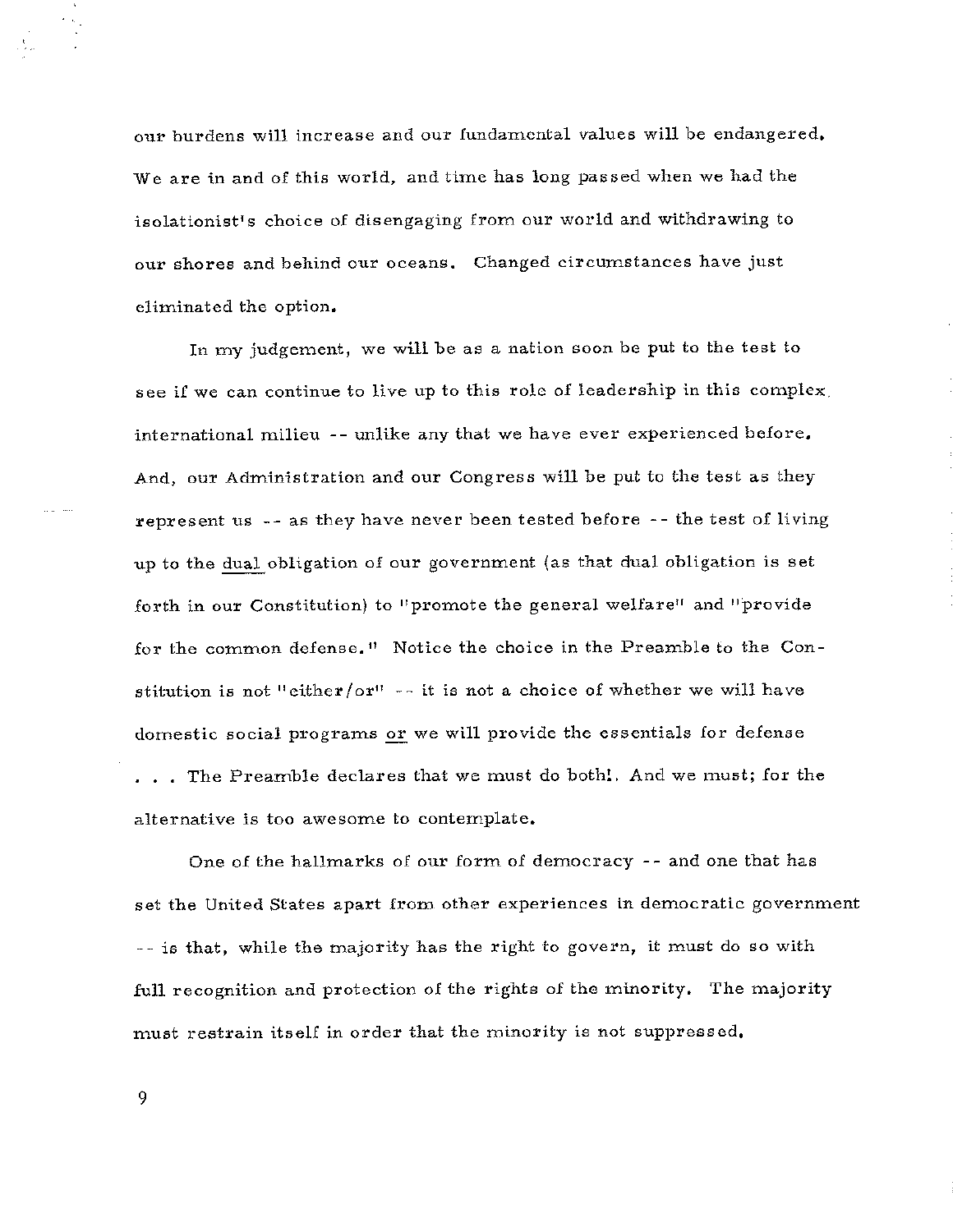our burdens will increase and our fundamental values will be endangered, We are in and of this world, and time has long passed when we had the isolationist's choice of disengaging from our world and withdrawing to our shores and behind our oceans. Changed circumstances have just eliminated the option.

In my judgement, we will be as a nation soon be put to the test *to*  see if we can continue to live up *to* this role of leadership in this complex, international milieu -- unlike any that we have ever experienced before, And, our Administration and our Congress will be put *to* the test as they represent us -- as they have never been tested before -- the test of living up to the dual obligation of our government (as that dual obligation is set forth in our Constitution) to "promote the general welfare" and "provide for the common defense. 11 Notice the choice in the Preamble to the Constitution is not "either/or" -- it is not a choice of whether we will have domestic social programs or we will provide the essentials for defense ... The Preamble declares that we must do both!. And we must; for the alternative is too awesome *to* contemplate,

One of the hallmarks of our form of democracy -- and one that has set the United States apart from other experiences in democratic government - - is that, while the majority has the right to govern, it must do so with full recognition and protection of the rights of the minority. The majority must restrain itself in order that the minority is not suppressed,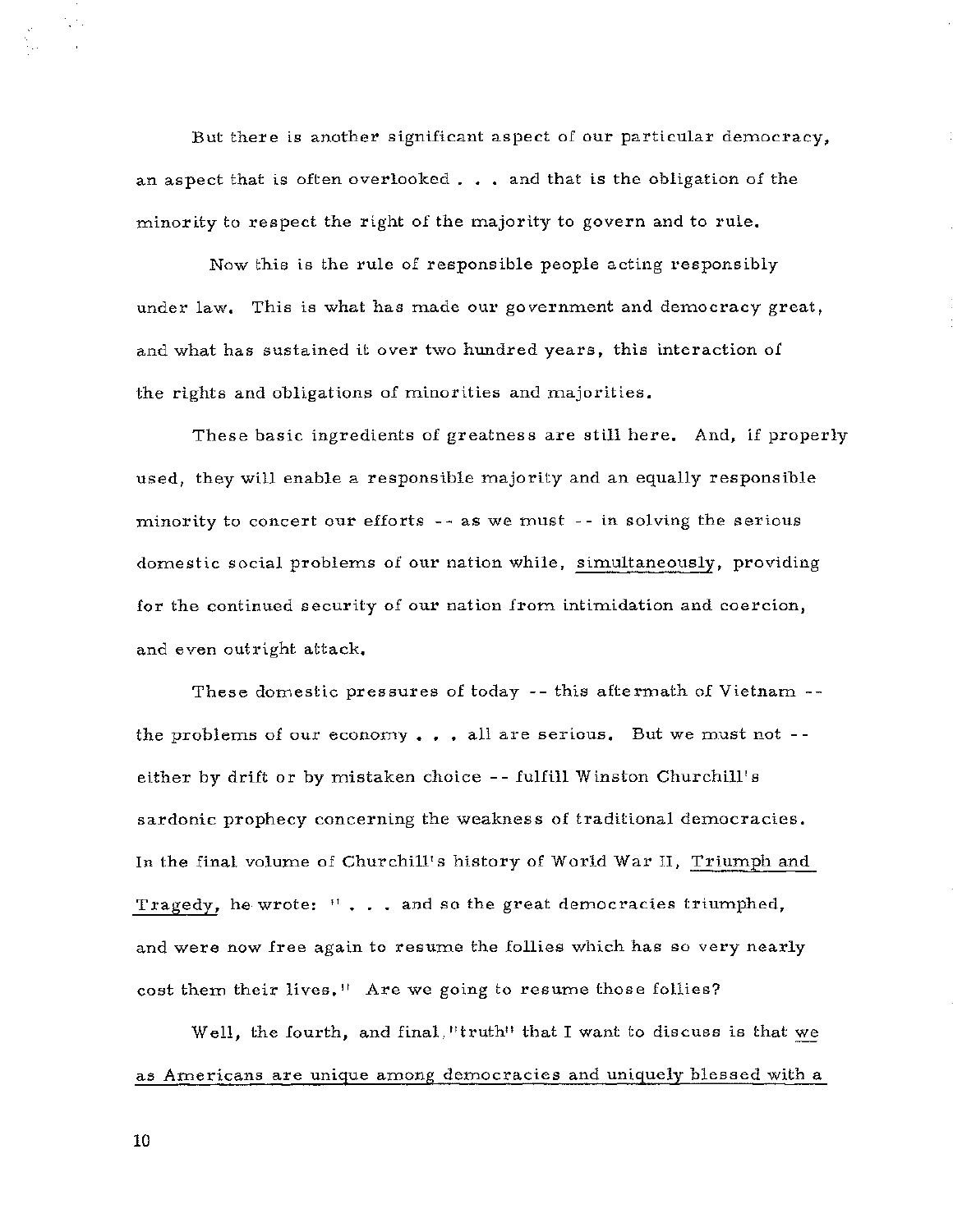But there is another significant aspect of our particular democracy, an aspect that is often overlooked  $\ldots$  and that is the obligation of the minority to respect the right of the majority to govern and to rule,

Now this is the rule of responsible people acting responsibly under law, This is what has made our government and democracy great, and what has sustained it over two hundred years, this interaction of the rights and obligations of minorities and majorities.

These basic ingredients of greatness are still here, And, if properly used, they will enable a responsible majority and an equally responsible minority to concert our efforts - - as we must - - in solving the serious domestic social problems of our nation while, simultaneously, providing for the continued security of our nation from intimidation and coercion, and even outright attack,

These domestic pressures of today -- this aftermath of Vietnam - the problems of our economy  $\ldots$  all are serious. But we must not -either by drift or by mistaken choice - - fulfill Winston Churchill's sardonic prophecy concerning the weakness of traditional democracies. In the final volume of Churchill's history of World War II, Triumph and Tragedy, he wrote:  $\mathbf{1}^{\mathsf{T}}$ ... and so the great democracies triumphed, and were now free again to resume the follies which has so very nearly cost them their lives." Are we going to resume those follies?

Well, the fourth, and final, "truth" that I want to discuss is that we as Americans are unique among democracies and uniquely blessed with a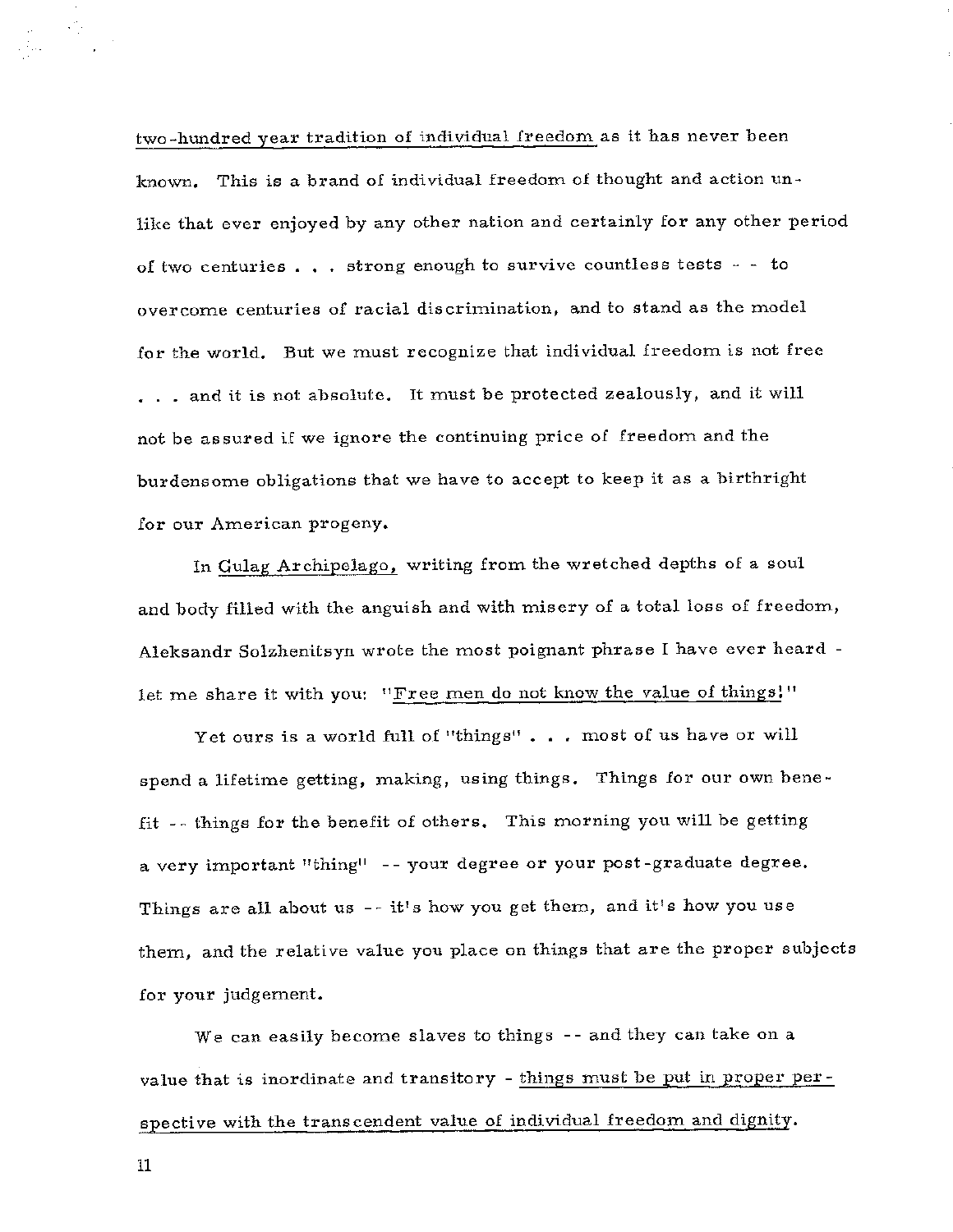two-hundred year tradition of individual freedom as it has never been known, This is a brand of individual freedom of thought and action unlike that ever enjoyed by any other nation and certainly for any other period of two centuries  $\ldots$  strong enough to survive countless tests - - to overcome centuries of racial discrimination, and to stand as the model for the world. But we must recognize that individual freedom is not free ... and it is not absolute. It must be protected zealously, and it will not be assured if we ignore the continuing price of freedom and the burdensome obligations that we have to accept to keep it as a birthright for our American progeny.

In Gulag Archipelago, writing from the wretched depths of a soul and body filled with the anguish and with misery of a total loss of freedom, Aleksandr Solzhenitsyn wrote the most poignant phrase I have ever heard let me share it with you: "Free men do not know the value of things!"

Yet ours is a world full of "things" . . . most of us have or will spend a lifetime getting, making, using things. Things for our own benefit -- things £or the benefit of others. This morning you will be getting a very important "thing" -- your degree or your post-graduate degree. Things are all about us -- it's how you get them, and it's how you use them, and the relative value you place on things that are the proper subjects for your judgement.

We can easily become slaves to things -- and they can take on a value that is inordinate and transitory - things must be put in proper perspective with the transcendent value of individual freedom and dignity.

11

an Sirika<br>Galeria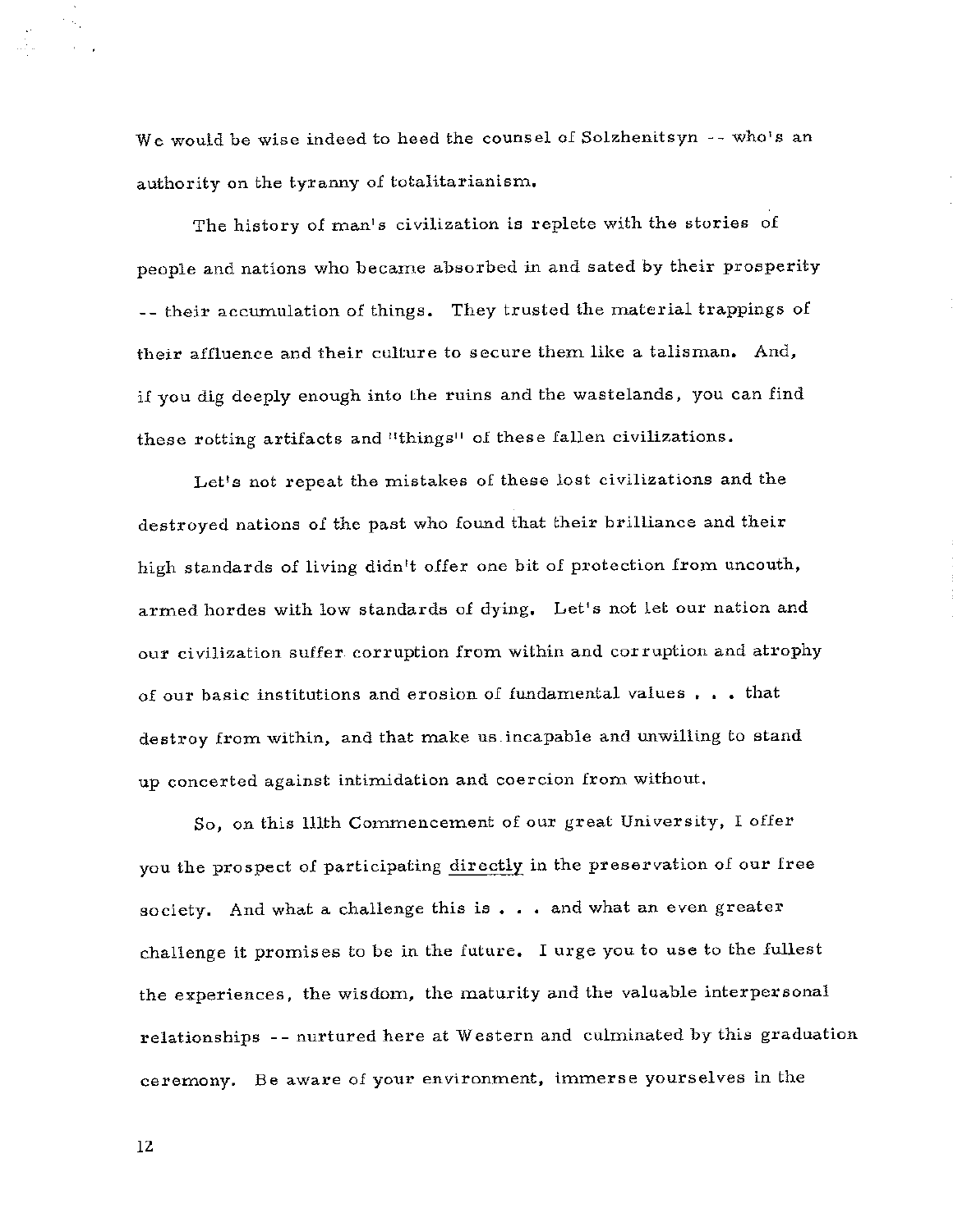We would be wise indeed to heed the counsel of Solzhenitsyn -- who's an authority on the tyranny of totalitarianism,

The history of man's civilization is replete with the stories of people and nations who became absorbed in and sated by their prosperity -- their accumulation of things. They trusted the material trappings of their affluence and their culture *to* secure them like a talisman, And, if you dig deeply enough into the ruins and the wastelands, you can find these rotting artifacts and "things" of these fallen civilizations,

Let's not repeat the mistakes of these lost civilizations and the destroyed nations of the past who found that their brilliance and their high standards of living didn't offer one bit of protection from uncouth, armed hordes with low standards of dying, Let's not let our nation and our civilization suffer corruption from within and corruption and atrophy of our basic institutions and erosion of fundamental values , , , that destroy from within, and that make us. incapable and unwilling *to* stand up concerted against intimidation and coercion from without,

So, on this lllth Commencement of our great University, I offer you the prospect of participating directly in the preservation of our free society. And what a challenge this is  $\ldots$  and what an even greater challenge it promises to be in the future, I urge you to use *to* the fullest the experiences, the wisdom, the maturity and the valuable interpersonal relationships -- nurtured here at Western and culminated by this graduation ceremony. Be aware of your environment, immerse yourselves in the